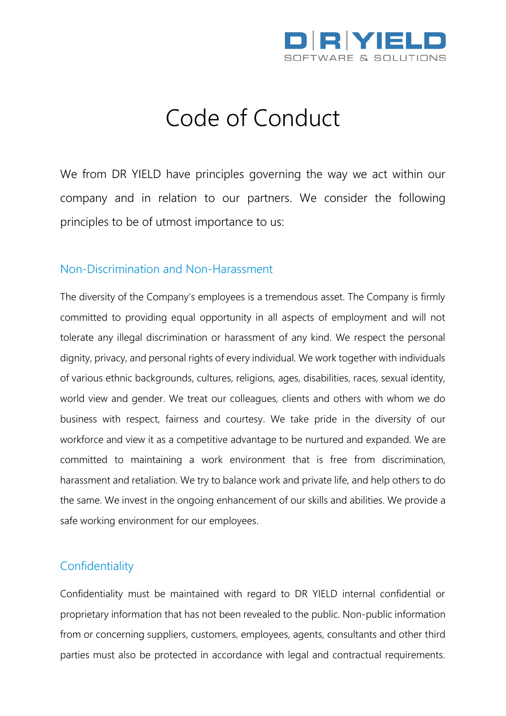

# Code of Conduct

We from DR YIELD have principles governing the way we act within our company and in relation to our partners. We consider the following principles to be of utmost importance to us:

#### Non-Discrimination and Non-Harassment

The diversity of the Company's employees is a tremendous asset. The Company is firmly committed to providing equal opportunity in all aspects of employment and will not tolerate any illegal discrimination or harassment of any kind. We respect the personal dignity, privacy, and personal rights of every individual. We work together with individuals of various ethnic backgrounds, cultures, religions, ages, disabilities, races, sexual identity, world view and gender. We treat our colleagues, clients and others with whom we do business with respect, fairness and courtesy. We take pride in the diversity of our workforce and view it as a competitive advantage to be nurtured and expanded. We are committed to maintaining a work environment that is free from discrimination, harassment and retaliation. We try to balance work and private life, and help others to do the same. We invest in the ongoing enhancement of our skills and abilities. We provide a safe working environment for our employees.

## **Confidentiality**

Confidentiality must be maintained with regard to DR YIELD internal confidential or proprietary information that has not been revealed to the public. Non-public information from or concerning suppliers, customers, employees, agents, consultants and other third parties must also be protected in accordance with legal and contractual requirements.